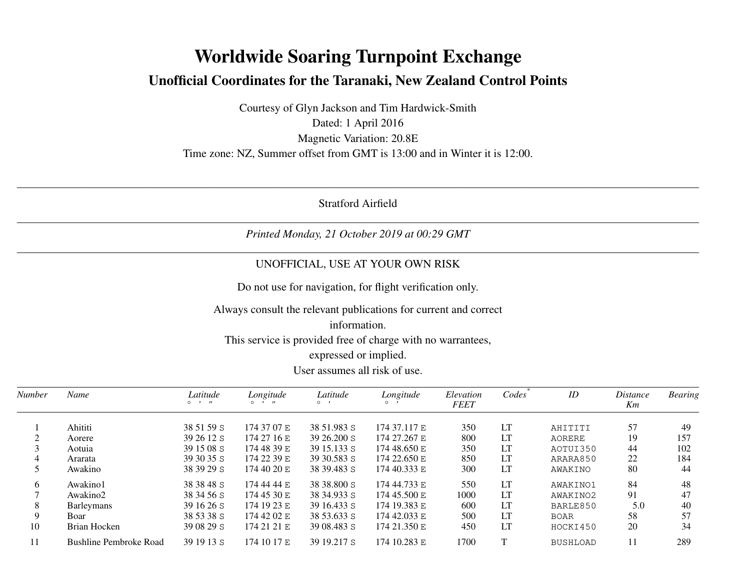# **Worldwide Soaring Turnpoint ExchangeUnofficial Coordinates for the Taranaki, New Zealand Control Points**

Courtesy of Glyn Jackson and Tim Hardwick-SmithDated: 1 April 2016 Magnetic Variation: 20.8ETime zone: NZ, Summer offset from GMT is 13:00 and in Winter it is 12:00.

Stratford Airfield

# *Printed Monday, 21 October 2019 at 00:29 GMT*

# UNOFFICIAL, USE AT YOUR OWN RISK

Do not use for navigation, for flight verification only.

#### Always consult the relevant publications for current and correct

### information.

This service is provided free of charge with no warrantees,

#### expressed or implied.

#### User assumes all risk of use.

| Number | Name                   | Latitude<br>$0 \rightarrow H$ | Longitude<br>$\circ$ $\cdot$ $\cdot$ | Latitude<br>O <sub>1</sub> | Longitude<br>$\circ$ | Elevation<br><b>FEET</b> | Codes | ID              | <i>Distance</i><br>Km | <b>Bearing</b> |
|--------|------------------------|-------------------------------|--------------------------------------|----------------------------|----------------------|--------------------------|-------|-----------------|-----------------------|----------------|
|        |                        |                               |                                      |                            |                      |                          |       |                 |                       |                |
|        | Ahititi                | 38 51 59 S                    | 174 37 07 E                          | 38 51.983 S                | 174 37.117 E         | 350                      | LT    | AHITITI         | 57                    | 49             |
|        | Aorere                 | 39 26 12 S                    | 174 27 16 E                          | $3926.200$ S               | 174 27.267 E         | 800                      | LT    | AORERE          | 19                    | 157            |
|        | Aotuia                 | 39 15 08 S                    | 174 48 39 E                          | 39 15.133 S                | 174 48.650 E         | 350                      | LT    | AOTUI350        | 44                    | 102            |
|        | Ararata                | 39 30 35 S                    | 174 22 39 E                          | 39 30.583 S                | 174 22.650 E         | 850                      | LT    | ARARA850        | 22                    | 184            |
|        | Awakino                | 38 39 29 S                    | 174 40 20 E                          | 38 39.483 S                | 174 40.333 E         | 300                      | LT    | AWAKINO         | 80                    | 44             |
| 6      | Awakino1               | 38 38 48 S                    | 174 44 44 E                          | 38 38.800 S                | 174 44.733 E         | 550                      | LT    | AWAKIN01        | 84                    | 48             |
|        | Awakino2               | 38 34 56 S                    | 174 45 30 E                          | 38 34.933 S                | 174 45.500 E         | 1000                     | LT    | AWAKINO2        | 91                    | 47             |
| 8      | <b>Barleymans</b>      | 39 16 26 S                    | 174 19 23 E                          | 39 16.433 S                | 174 19.383 E         | 600                      | LT    | BARLE850        | 5.0                   | 40             |
| 9      | Boar                   | 38 53 38 S                    | 174 42 02 E                          | 38 53.633 S                | 174 42.033 E         | 500                      | LT    | <b>BOAR</b>     | 58                    | 57             |
| 10     | Brian Hocken           | 39 08 29 S                    | 174 21 21 E                          | 39 08.483 S                | 174 21.350 E         | 450                      | LT    | HOCKI450        | 20                    | 34             |
| 11     | Bushline Pembroke Road | 39 19 13 S                    | 174 10 17 E                          | 39 19.217 S                | 174 10.283 E         | 1700                     | T     | <b>BUSHLOAD</b> | 11                    | 289            |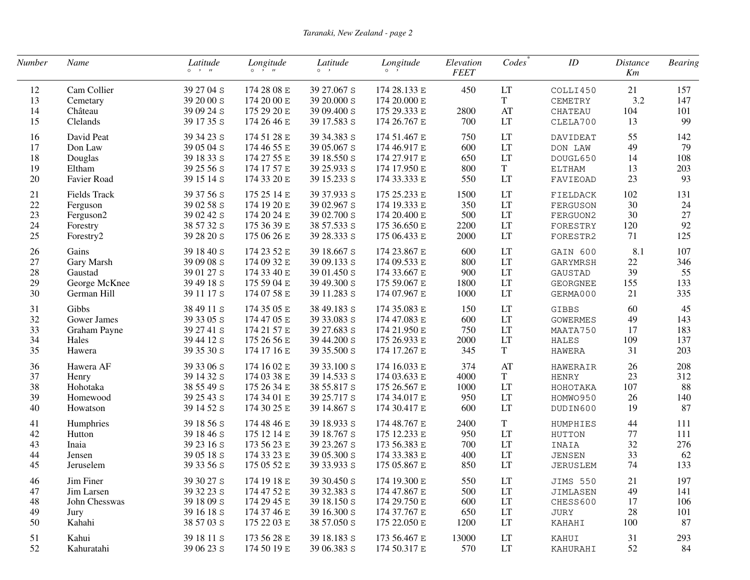| Number | Name                | Latitude<br>$0 \rightarrow H$ | Longitude<br>$0 \rightarrow H$ | Latitude<br>$\circ \quad$ , | Longitude<br>$\circ$ , | Elevation<br><b>FEET</b> | Codes                               | $I\!D$          | <b>Distance</b><br>Km | <b>Bearing</b> |
|--------|---------------------|-------------------------------|--------------------------------|-----------------------------|------------------------|--------------------------|-------------------------------------|-----------------|-----------------------|----------------|
| 12     | Cam Collier         | 39 27 04 S                    | 174 28 08 E                    | 39 27.067 S                 | 174 28.133 E           | 450                      | LT                                  | COLLI450        | 21                    | 157            |
| 13     | Cemetary            | 39 20 00 S                    | 174 20 00 E                    | 39 20.000 S                 | 174 20.000 E           |                          | $\mathbf T$                         | CEMETRY         | 3.2                   | 147            |
| 14     | Château             | 39 09 24 S                    | 175 29 20 E                    | 39 09.400 S                 | 175 29.333 E           | 2800                     | $\boldsymbol{\mathsf{A}\mathsf{T}}$ | CHATEAU         | 104                   | 101            |
| 15     | Clelands            | 39 17 35 S                    | 174 26 46 E                    | 39 17.583 S                 | 174 26.767 E           | 700                      | LT                                  | CLELA700        | 13                    | 99             |
| 16     | David Peat          | 39 34 23 S                    | 174 51 28 E                    | 39 34.383 S                 | 174 51.467 E           | 750                      | LT                                  | DAVIDEAT        | 55                    | 142            |
| 17     | Don Law             | 39 05 04 S                    | 174 46 55 E                    | 39 05.067 S                 | 174 46.917 E           | 600                      | LT                                  | DON LAW         | 49                    | 79             |
| 18     | Douglas             | 39 18 33 S                    | 174 27 55 E                    | 39 18.550 S                 | 174 27.917 E           | 650                      | LT                                  | DOUGL650        | 14                    | 108            |
| 19     | Eltham              | 39 25 56 S                    | 174 17 57 E                    | 39 25.933 S                 | 174 17.950 E           | 800                      | T                                   | <b>ELTHAM</b>   | 13                    | 203            |
| $20\,$ | Favier Road         | 39 15 14 S                    | 174 33 20 E                    | 39 15.233 S                 | 174 33.333 E           | 550                      | LT                                  | FAVIEOAD        | 23                    | 93             |
| 21     | <b>Fields Track</b> | 39 37 56 S                    | 175 25 14 E                    | 39 37.933 S                 | 175 25.233 E           | 1500                     | LT                                  | FIELDACK        | 102                   | 131            |
| 22     | Ferguson            | 39 02 58 S                    | 174 19 20 E                    | 39 02.967 S                 | 174 19.333 E           | 350                      | LT                                  | FERGUSON        | 30                    | 24             |
| 23     | Ferguson2           | 39 02 42 S                    | 174 20 24 E                    | 39 02.700 S                 | 174 20.400 E           | 500                      | LT                                  | FERGUON2        | 30                    | 27             |
| 24     | Forestry            | 38 57 32 S                    | 175 36 39 E                    | 38 57.533 S                 | 175 36.650 E           | 2200                     | LT                                  | FORESTRY        | 120                   | 92             |
| 25     | Forestry2           | 39 28 20 S                    | 175 06 26 E                    | 39 28.333 S                 | 175 06.433 E           | 2000                     | LT                                  | FORESTR2        | 71                    | 125            |
| 26     | Gains               | 39 18 40 S                    | 174 23 52 E                    | 39 18.667 S                 | 174 23.867 E           | 600                      | LT                                  | GAIN 600        | 8.1                   | 107            |
| 27     | Gary Marsh          | 39 09 08 S                    | 174 09 32 E                    | 39 09.133 S                 | 174 09.533 E           | 800                      | LT                                  | GARYMRSH        | $22\,$                | 346            |
| 28     | Gaustad             | 39 01 27 S                    | 174 33 40 E                    | 39 01.450 S                 | 174 33.667 E           | 900                      | LT                                  | GAUSTAD         | 39                    | 55             |
| 29     | George McKnee       | 39 49 18 S                    | 175 59 04 E                    | 39 49.300 S                 | 175 59.067 E           | 1800                     | LT                                  | <b>GEORGNEE</b> | 155                   | 133            |
| 30     | German Hill         | 39 11 17 S                    | 174 07 58 E                    | 39 11.283 S                 | 174 07.967 E           | 1000                     | LT                                  | GERMA000        | 21                    | 335            |
| 31     | Gibbs               | 38 49 11 S                    | 174 35 05 E                    | 38 49.183 S                 | 174 35.083 E           | 150                      | LT                                  | GIBBS           | 60                    | 45             |
| 32     | Gower James         | 39 33 05 S                    | 174 47 05 E                    | 39 33.083 S                 | 174 47.083 E           | 600                      | LT                                  | <b>GOWERMES</b> | 49                    | 143            |
| 33     | Graham Payne        | 39 27 41 S                    | 174 21 57 E                    | 39 27.683 S                 | 174 21.950 E           | 750                      | LT                                  | MAATA750        | 17                    | 183            |
| 34     | Hales               | 39 44 12 S                    | 175 26 56 E                    | 39 44.200 S                 | 175 26.933 E           | 2000                     | LT                                  | <b>HALES</b>    | 109                   | 137            |
| 35     | Hawera              | 39 35 30 S                    | 174 17 16 E                    | 39 35.500 S                 | 174 17.267 E           | 345                      | $\mathbf T$                         | <b>HAWERA</b>   | 31                    | 203            |
| 36     | Hawera AF           | 39 33 06 S                    | 174 16 02 E                    | 39 33.100 S                 | 174 16.033 E           | 374                      | AT                                  | HAWERAIR        | 26                    | 208            |
| 37     | Henry               | 39 14 32 S                    | 174 03 38 E                    | 39 14.533 S                 | 174 03.633 E           | 4000                     | $\mathbf T$                         | <b>HENRY</b>    | 23                    | 312            |
| 38     | Hohotaka            | 38 55 49 S                    | 175 26 34 E                    | 38 55.817 S                 | 175 26.567 E           | 1000                     | LT                                  | НОНОТАКА        | 107                   | 88             |
| 39     | Homewood            | 39 25 43 S                    | 174 34 01 E                    | 39 25.717 S                 | 174 34.017 E           | 950                      | LT                                  | HOMWO950        | 26                    | 140            |
| 40     | Howatson            | 39 14 52 S                    | 174 30 25 E                    | 39 14.867 S                 | 174 30.417 E           | 600                      | LT                                  | DUDIN600        | 19                    | 87             |
| 41     | Humphries           | 39 18 56 S                    | 174 48 46 E                    | 39 18.933 S                 | 174 48.767 E           | 2400                     | $\mathbf T$                         | HUMPHIES        | 44                    | 111            |
| 42     | Hutton              | 39 18 46 S                    | 175 12 14 E                    | 39 18.767 S                 | 175 12.233 E           | 950                      | LT                                  | HUTTON          | 77                    | 111            |
| 43     | Inaia               | 39 23 16 S                    | 173 56 23 E                    | 39 23.267 S                 | 173 56.383 E           | 700                      | LT                                  | INAIA           | 32                    | 276            |
| 44     | Jensen              | 39 05 18 S                    | 174 33 23 E                    | 39 05.300 S                 | 174 33.383 E           | 400                      | LT                                  | <b>JENSEN</b>   | 33                    | 62             |
| 45     | Jeruselem           | 39 33 56 S                    | 175 05 52 E                    | 39 33.933 S                 | 175 05.867 E           | 850                      | LT                                  | <b>JERUSLEM</b> | 74                    | 133            |
| 46     | Jim Finer           | 39 30 27 S                    | 174 19 18 E                    | 39 30.450 S                 | 174 19.300 E           | 550                      | LT                                  | <b>JIMS 550</b> | 21                    | 197            |
| 47     | Jim Larsen          | 39 32 23 S                    | 174 47 52 E                    | 39 32.383 S                 | 174 47.867 E           | 500                      | LT                                  | <b>JIMLASEN</b> | 49                    | 141            |
| 48     | John Chesswas       | 39 18 09 S                    | 174 29 45 E                    | 39 18.150 S                 | 174 29.750 E           | 600                      | LT                                  | CHESS600        | 17                    | 106            |
| 49     | Jury                | 39 16 18 S                    | 174 37 46 E                    | 39 16.300 S                 | 174 37.767 E           | 650                      | LT                                  | JURY            | 28                    | 101            |
| 50     | Kahahi              | 38 57 03 S                    | 175 22 03 E                    | 38 57.050 S                 | 175 22.050 E           | 1200                     | LT                                  | KAHAHI          | 100                   | 87             |
| 51     | Kahui               | 39 18 11 S                    | 173 56 28 E                    | 39 18.183 S                 | 173 56.467 E           | 13000                    | LT                                  | KAHUI           | 31                    | 293            |
| 52     | Kahuratahi          | 39 06 23 S                    | 174 50 19 E                    | 39 06.383 S                 | 174 50.317 E           | 570                      | LT                                  | KAHURAHI        | 52                    | 84             |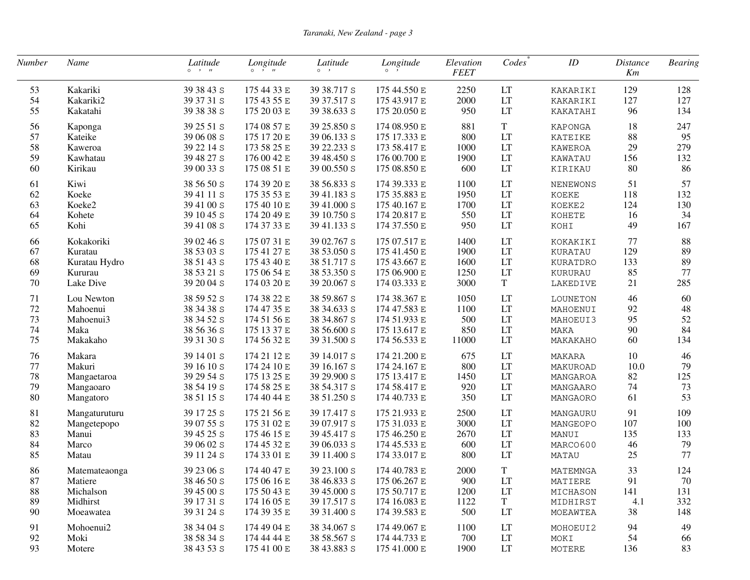| Number | Name          | Latitude<br>$\circ \quad \cdot \quad n$ | Longitude<br>$0 \rightarrow u$ | Latitude<br>$\circ$ , | Longitude<br>$\circ$ $\cdot$ | Elevation<br><b>FEET</b> | Codes       | ID             | <i>Distance</i><br>Km | <b>Bearing</b> |
|--------|---------------|-----------------------------------------|--------------------------------|-----------------------|------------------------------|--------------------------|-------------|----------------|-----------------------|----------------|
| 53     | Kakariki      | 39 38 43 S                              | 175 44 33 E                    | 39 38.717 S           | 175 44.550 E                 | 2250                     | LT          | KAKARIKI       | 129                   | 128            |
| 54     | Kakariki2     | 39 37 31 S                              | 175 43 55 E                    | 39 37.517 S           | 175 43.917 E                 | 2000                     | LT          | KAKARIKI       | 127                   | 127            |
| 55     | Kakatahi      | 39 38 38 S                              | 175 20 03 E                    | 39 38.633 S           | 175 20.050 E                 | 950                      | LT          | KAKATAHI       | 96                    | 134            |
| 56     | Kaponga       | 39 25 51 S                              | 174 08 57 E                    | 39 25.850 S           | 174 08.950 E                 | 881                      | T           | KAPONGA        | 18                    | 247            |
| 57     | Kateike       | 39 06 08 S                              | 175 17 20 E                    | 39 06.133 S           | 175 17.333 E                 | 800                      | LT          | <b>KATEIKE</b> | 88                    | 95             |
| 58     | Kaweroa       | 39 22 14 S                              | 173 58 25 E                    | 39 22.233 S           | 173 58.417 E                 | 1000                     | LT          | KAWEROA        | 29                    | 279            |
| 59     | Kawhatau      | 39 48 27 S                              | 176 00 42 E                    | 39 48.450 S           | 176 00.700 E                 | 1900                     | LT          | KAWATAU        | 156                   | 132            |
| 60     | Kirikau       | 39 00 33 S                              | 175 08 51 E                    | 39 00.550 S           | 175 08.850 E                 | 600                      | LT          | KIRIKAU        | 80                    | 86             |
| 61     | Kiwi          | 38 56 50 S                              | 174 39 20 E                    | 38 56.833 S           | 174 39.333 E                 | 1100                     | LT          | NENEWONS       | 51                    | 57             |
| 62     | Koeke         | 39 41 11 S                              | 175 35 53 E                    | 39 41.183 S           | 175 35.883 E                 | 1950                     | LT          | <b>KOEKE</b>   | 118                   | 132            |
| 63     | Koeke2        | 39 41 00 S                              | 175 40 10 E                    | 39 41.000 S           | 175 40.167 E                 | 1700                     | LT          | KOEKE2         | 124                   | 130            |
| 64     | Kohete        | 39 10 45 S                              | 174 20 49 E                    | 39 10.750 S           | 174 20.817 E                 | 550                      | LT          | KOHETE         | 16                    | 34             |
| 65     | Kohi          | 39 41 08 S                              | 174 37 33 E                    | 39 41.133 S           | 174 37.550 E                 | 950                      | LT          | KOHI           | 49                    | 167            |
| 66     | Kokakoriki    | 39 02 46 S                              | 175 07 31 E                    | 39 02.767 S           | 175 07.517 E                 | 1400                     | LT          | KOKAKIKI       | 77                    | 88             |
| 67     | Kuratau       | 38 53 03 S                              | 175 41 27 E                    | 38 53.050 S           | 175 41.450 E                 | 1900                     | LT          | KURATAU        | 129                   | 89             |
| 68     | Kuratau Hydro | 38 51 43 S                              | 175 43 40 E                    | 38 51.717 S           | 175 43.667 E                 | 1600                     | LT          | KURATDRO       | 133                   | 89             |
| 69     | Kururau       | 38 53 21 S                              | 175 06 54 E                    | 38 53.350 S           | 175 06.900 E                 | 1250                     | LT          | KURURAU        | 85                    | 77             |
| 70     | Lake Dive     | 39 20 04 S                              | 174 03 20 E                    | 39 20.067 S           | 174 03.333 E                 | 3000                     | $\mathbf T$ | LAKEDIVE       | 21                    | 285            |
| 71     | Lou Newton    | 38 59 52 S                              | 174 38 22 E                    | 38 59.867 S           | 174 38.367 E                 | 1050                     | LT          | LOUNETON       | 46                    | 60             |
| 72     | Mahoenui      | 38 34 38 S                              | 174 47 35 E                    | 38 34.633 S           | 174 47.583 E                 | 1100                     | LT          | MAHOENUI       | 92                    | 48             |
| 73     | Mahoenui3     | 38 34 52 S                              | 174 51 56 E                    | 38 34.867 S           | 174 51.933 E                 | 500                      | LT          | MAHOEUI3       | 95                    | 52             |
| 74     | Maka          | 38 56 36 S                              | 175 13 37 E                    | 38 56.600 S           | 175 13.617 E                 | 850                      | LT          | MAKA           | 90                    | 84             |
| 75     | Makakaho      | 39 31 30 S                              | 174 56 32 E                    | 39 31.500 S           | 174 56.533 E                 | 11000                    | LT          | MAKAKAHO       | 60                    | 134            |
| 76     | Makara        | 39 14 01 S                              | 174 21 12 E                    | 39 14.017 S           | 174 21.200 E                 | 675                      | LT          | MAKARA         | 10                    | 46             |
| 77     | Makuri        | 39 16 10 S                              | 174 24 10 E                    | 39 16.167 S           | 174 24.167 E                 | 800                      | LT          | MAKUROAD       | 10.0                  | 79             |
| 78     | Mangaetaroa   | 39 29 54 S                              | 175 13 25 E                    | 39 29.900 S           | 175 13.417 E                 | 1450                     | LT          | MANGAROA       | 82                    | 125            |
| 79     | Mangaoaro     | 38 54 19 S                              | 174 58 25 E                    | 38 54.317 S           | 174 58.417 E                 | 920                      | LT          | MANGAARO       | 74                    | 73             |
| 80     | Mangatoro     | 38 51 15 S                              | 174 40 44 E                    | 38 51.250 S           | 174 40.733 E                 | 350                      | LT          | MANGAORO       | 61                    | 53             |
| 81     | Mangaturuturu | 39 17 25 S                              | 175 21 56 E                    | 39 17.417 S           | 175 21.933 E                 | 2500                     | LT          | MANGAURU       | 91                    | 109            |
| 82     | Mangetepopo   | 39 07 55 S                              | 175 31 02 E                    | 39 07.917 S           | 175 31.033 E                 | 3000                     | LT          | MANGEOPO       | 107                   | 100            |
| 83     | Manui         | 39 45 25 S                              | 175 46 15 E                    | 39 45.417 S           | 175 46.250 E                 | 2670                     | LT          | MANUI          | 135                   | 133            |
| 84     | Marco         | 39 06 02 S                              | 174 45 32 E                    | 39 06.033 S           | 174 45.533 E                 | 600                      | LT          | MARCO600       | 46                    | 79             |
| 85     | Matau         | 39 11 24 S                              | 174 33 01 E                    | 39 11.400 S           | 174 33.017 E                 | 800                      | LT          | MATAU          | 25                    | 77             |
| 86     | Matemateaonga | 39 23 06 S                              | 174 40 47 E                    | 39 23.100 S           | 174 40.783 E                 | 2000                     | T           | MATEMNGA       | 33                    | 124            |
| $87\,$ | Matiere       | 38 46 50 s                              | 175 06 16 E                    | 38 46.833 S           | 175 06.267 E                 | 900                      | LT          | MATIERE        | 91                    | 70             |
| 88     | Michalson     | 39 45 00 S                              | 175 50 43 E                    | 39 45,000 S           | 175 50.717 E                 | 1200                     | LT          | MICHASON       | 141                   | 131            |
| 89     | Midhirst      | 39 17 31 S                              | 174 16 05 E                    | 39 17.517 S           | 174 16.083 E                 | 1122                     | $\mathbf T$ | MIDHIRST       | 4.1                   | 332            |
| 90     | Moeawatea     | 39 31 24 S                              | 174 39 35 E                    | 39 31.400 S           | 174 39.583 E                 | 500                      | LT          | MOEAWTEA       | 38                    | 148            |
| 91     | Mohoenui2     | 38 34 04 S                              | 174 49 04 E                    | 38 34.067 S           | 174 49.067 E                 | 1100                     | LT          | MOHOEUI2       | 94                    | 49             |
| 92     | Moki          | 38 58 34 S                              | 174 44 44 E                    | 38 58.567 S           | 174 44.733 E                 | 700                      | LT          | MOKI           | 54                    | 66             |
| 93     | Motere        | 38 43 53 S                              | 175 41 00 E                    | 38 43.883 S           | 175 41.000 E                 | 1900                     | LT          | MOTERE         | 136                   | 83             |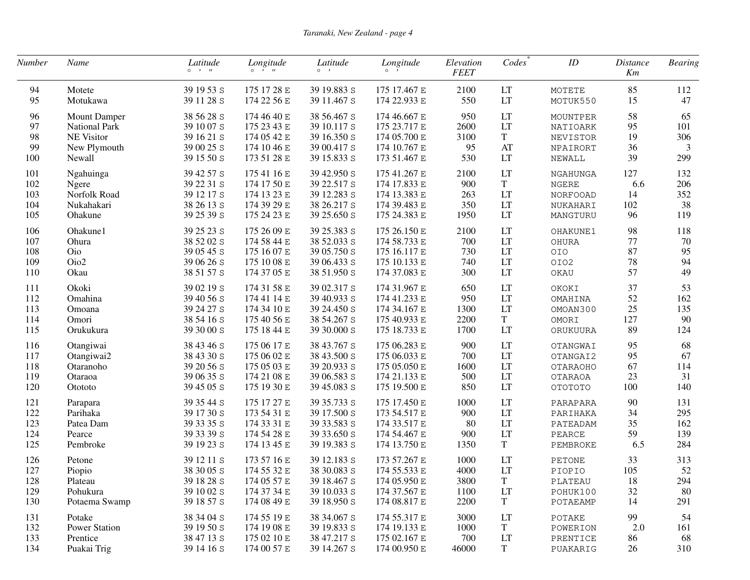| Number | Name                 | Latitude<br>$\circ \quad \cdot \quad n$ | Longitude<br>$0 \rightarrow H$ | Latitude<br>$\circ \quad$ , | Longitude<br>$\circ$ , | Elevation<br><b>FEET</b> | Codes       | ID              | <i>Distance</i><br>Km | <b>Bearing</b> |
|--------|----------------------|-----------------------------------------|--------------------------------|-----------------------------|------------------------|--------------------------|-------------|-----------------|-----------------------|----------------|
| 94     | Motete               | 39 19 53 S                              | 175 17 28 E                    | 39 19.883 S                 | 175 17.467 E           | 2100                     | LT          | MOTETE          | 85                    | 112            |
| 95     | Motukawa             | 39 11 28 S                              | 174 22 56 E                    | 39 11.467 S                 | 174 22.933 E           | 550                      | LT          | MOTUK550        | 15                    | 47             |
| 96     | <b>Mount Damper</b>  | 38 56 28 S                              | 174 46 40 E                    | 38 56.467 S                 | 174 46.667 E           | 950                      | LT          | MOUNTPER        | 58                    | 65             |
| 97     | National Park        | 39 10 07 S                              | 175 23 43 E                    | 39 10.117 S                 | 175 23.717 E           | 2600                     | LT          | NATIOARK        | 95                    | 101            |
| 98     | NE Visitor           | 39 16 21 S                              | 174 05 42 E                    | 39 16.350 S                 | 174 05.700 E           | 3100                     | $\mathbf T$ | NEVISTOR        | 19                    | 306            |
| 99     | New Plymouth         | 39 00 25 S                              | 174 10 46 E                    | 39 00.417 S                 | 174 10.767 E           | 95                       | AT          | NPAIRORT        | 36                    | 3              |
| 100    | Newall               | 39 15 50 S                              | 173 51 28 E                    | 39 15.833 S                 | 173 51.467 E           | 530                      | LT          | NEWALL          | 39                    | 299            |
| 101    | Ngahuinga            | 39 42 57 S                              | 175 41 16 E                    | 39 42.950 S                 | 175 41.267 E           | 2100                     | LT          | NGAHUNGA        | 127                   | 132            |
| 102    | Ngere                | 39 22 31 S                              | 174 17 50 E                    | 39 22.517 S                 | 174 17.833 E           | 900                      | $\mathbf T$ | NGERE           | 6.6                   | 206            |
| 103    | Norfolk Road         | 39 12 17 S                              | 174 13 23 E                    | 39 12.283 S                 | 174 13.383 E           | 263                      | LT          | <b>NORFOOAD</b> | 14                    | 352            |
| 104    | Nukahakari           | 38 26 13 S                              | 174 39 29 E                    | 38 26.217 S                 | 174 39.483 E           | 350                      | LT          | NUKAHARI        | 102                   | 38             |
| 105    | Ohakune              | 39 25 39 S                              | 175 24 23 E                    | 39 25.650 S                 | 175 24.383 E           | 1950                     | LT          | MANGTURU        | 96                    | 119            |
| 106    | Ohakune1             | 39 25 23 S                              | 175 26 09 E                    | 39 25.383 S                 | 175 26.150 E           | 2100                     | LT          | OHAKUNE1        | 98                    | 118            |
| 107    | Ohura                | 38 52 02 S                              | 174 58 44 E                    | 38 52.033 S                 | 174 58.733 E           | 700                      | LT          | OHURA           | 77                    | 70             |
| 108    | Oio                  | 39 05 45 S                              | 175 16 07 E                    | 39 05.750 S                 | 175 16.117 E           | 730                      | LT          | OIO             | 87                    | 95             |
| 109    | Oio2                 | 39 06 26 S                              | 175 10 08 E                    | 39 06.433 S                 | 175 10.133 E           | 740                      | LT          | OIO2            | 78                    | 94             |
| 110    | Okau                 | 38 51 57 S                              | 174 37 05 E                    | 38 51.950 S                 | 174 37.083 E           | 300                      | LT          | OKAU            | 57                    | 49             |
| 111    | Okoki                | 39 02 19 S                              | 174 31 58 E                    | 39 02.317 S                 | 174 31.967 E           | 650                      | LT          | OKOKI           | 37                    | 53             |
| 112    | Omahina              | 39 40 56 S                              | 174 41 14 E                    | 39 40.933 S                 | 174 41.233 E           | 950                      | LT          | OMAHINA         | 52                    | 162            |
| 113    | Omoana               | 39 24 27 S                              | 174 34 10 E                    | 39 24.450 S                 | 174 34.167 E           | 1300                     | LT          | OMOAN300        | 25                    | 135            |
| 114    | Omori                | 38 54 16 S                              | 175 40 56 E                    | 38 54.267 S                 | 175 40.933 E           | 2200                     | $\mathbf T$ | OMORI           | 127                   | 90             |
| 115    | Orukukura            | 39 30 00 S                              | 175 18 44 E                    | 39 30.000 S                 | 175 18.733 E           | 1700                     | LT          | ORUKUURA        | 89                    | 124            |
| 116    | Otangiwai            | 38 43 46 S                              | 175 06 17 E                    | 38 43.767 S                 | 175 06.283 E           | 900                      | LT          | OTANGWAI        | 95                    | 68             |
| 117    | Otangiwai2           | 38 43 30 S                              | 175 06 02 E                    | 38 43.500 S                 | 175 06.033 E           | 700                      | LT          | OTANGAI2        | 95                    | 67             |
| 118    | Otaranoho            | 39 20 56 S                              | 175 05 03 E                    | 39 20.933 S                 | 175 05.050 E           | 1600                     | LT          | OTARAOHO        | 67                    | 114            |
| 119    | Otaraoa              | 39 06 35 S                              | 174 21 08 E                    | 39 06.583 S                 | 174 21.133 E           | 500                      | LT          | OTARAOA         | 23                    | 31             |
| 120    | Otototo              | 39 45 05 S                              | 175 19 30 E                    | 39 45.083 S                 | 175 19.500 E           | 850                      | LT          | OTOTOTO         | 100                   | 140            |
| 121    | Parapara             | 39 35 44 S                              | 175 17 27 E                    | 39 35.733 S                 | 175 17.450 E           | 1000                     | LT          | PARAPARA        | 90                    | 131            |
| 122    | Parihaka             | 39 17 30 S                              | 173 54 31 E                    | 39 17.500 S                 | 173 54.517 E           | 900                      | LT          | PARIHAKA        | 34                    | 295            |
| 123    | Patea Dam            | 39 33 35 S                              | 174 33 31 E                    | 39 33.583 S                 | 174 33.517 E           | 80                       | LT          | PATEADAM        | 35                    | 162            |
| 124    | Pearce               | 39 33 39 S                              | 174 54 28 E                    | 39 33.650 S                 | 174 54.467 E           | 900                      | LT          | PEARCE          | 59                    | 139            |
| 125    | Pembroke             | 39 19 23 S                              | 174 13 45 E                    | 39 19.383 S                 | 174 13.750 E           | 1350                     | $\mathbf T$ | PEMBROKE        | 6.5                   | 284            |
| 126    | Petone               | 39 12 11 S                              | 173 57 16 E                    | 39 12.183 S                 | 173 57.267 E           | 1000                     | LT          | PETONE          | 33                    | 313            |
| 127    | Piopio               | 38 30 05 S                              | 174 55 32 E                    | 38 30.083 S                 | 174 55.533 E           | 4000                     | LT          | PIOPIO          | 105                   | 52             |
| 128    | Plateau              | 39 18 28 S                              | 174 05 57 E                    | 39 18.467 S                 | 17405.950E             | 3800                     | T           | PLATEAU         | 18                    | 294            |
| 129    | Pohukura             | 39 10 02 S                              | 174 37 34 E                    | 39 10.033 S                 | 174 37.567 E           | 1100                     | LT          | POHUK100        | 32                    | 80             |
| 130    | Potaema Swamp        | 39 18 57 S                              | 174 08 49 E                    | 39 18.950 S                 | 174 08.817 E           | 2200                     | $\mathbf T$ | POTAEAMP        | 14                    | 291            |
| 131    | Potake               | 38 34 04 S                              | 174 55 19 E                    | 38 34.067 S                 | 174 55.317 E           | 3000                     | LT          | POTAKE          | 99                    | 54             |
| 132    | <b>Power Station</b> | 39 19 50 S                              | 174 19 08 E                    | 39 19.833 S                 | 174 19.133 E           | 1000                     | $\mathbf T$ | POWERION        | 2.0                   | 161            |
| 133    | Prentice             | 38 47 13 S                              | 175 02 10 E                    | 38 47.217 S                 | 175 02.167 E           | 700                      | LT          | PRENTICE        | 86                    | 68             |
| 134    | Puakai Trig          | 39 14 16 S                              | 174 00 57 E                    | 39 14.267 S                 | 174 00.950 E           | 46000                    | $\mathbf T$ | PUAKARIG        | 26                    | 310            |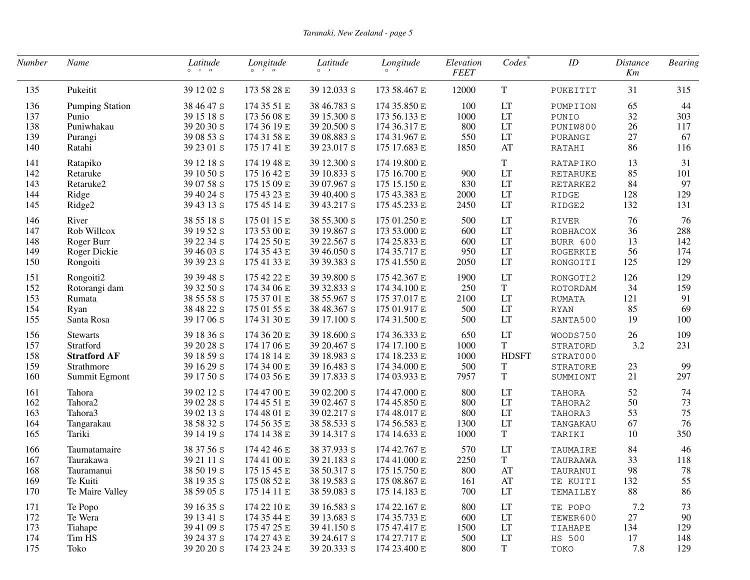| Number                          | Name                                                                               | Latitude<br>$0 \rightarrow H$                                      | Longitude<br>$0 \rightarrow H$                                          | Latitude<br>$\circ \quad$ ,                                             | Longitude<br>$\circ$ ,                                                       | Elevation<br><b>FEET</b>           | Codes                                                           | ID                                                       | <i>Distance</i><br>Km | <b>Bearing</b>          |
|---------------------------------|------------------------------------------------------------------------------------|--------------------------------------------------------------------|-------------------------------------------------------------------------|-------------------------------------------------------------------------|------------------------------------------------------------------------------|------------------------------------|-----------------------------------------------------------------|----------------------------------------------------------|-----------------------|-------------------------|
| 135                             | Pukeitit                                                                           | 39 12 02 S                                                         | 173 58 28 E                                                             | 39 12.033 S                                                             | 173 58.467 E                                                                 | 12000                              | T                                                               | PUKEITIT                                                 | 31                    | 315                     |
| 136                             | <b>Pumping Station</b>                                                             | 38 46 47 S                                                         | 174 35 51 E                                                             | 38 46.783 S                                                             | 174 35.850 E                                                                 | 100                                | LT                                                              | PUMPIION                                                 | 65                    | 44                      |
| 137                             | Punio                                                                              | 39 15 18 S                                                         | 173 56 08 E                                                             | 39 15.300 S                                                             | 173 56.133 E                                                                 | 1000                               | LT                                                              | PUNIO                                                    | 32                    | 303                     |
| 138                             | Puniwhakau                                                                         | 39 20 30 S                                                         | 174 36 19 E                                                             | 39 20.500 S                                                             | 174 36.317 E                                                                 | 800                                | LT                                                              | PUNIW800                                                 | 26                    | 117                     |
| 139                             | Purangi                                                                            | 39 08 53 S                                                         | 174 31 58 E                                                             | 39 08.883 S                                                             | 174 31.967 E                                                                 | 550                                | LT                                                              | PURANGI                                                  | 27                    | 67                      |
| 140                             | Ratahi                                                                             | 39 23 01 S                                                         | 175 17 41 E                                                             | 39 23.017 S                                                             | 175 17.683 E                                                                 | 1850                               | AT                                                              | RATAHI                                                   | 86                    | 116                     |
| 141                             | Ratapiko                                                                           | 39 12 18 S                                                         | 174 19 48 E                                                             | 39 12.300 S                                                             | 174 19.800 E                                                                 | 900                                | T                                                               | RATAPIKO                                                 | 13                    | 31                      |
| 142                             | Retaruke                                                                           | 39 10 50 S                                                         | 175 16 42 E                                                             | 39 10.833 S                                                             | 175 16.700 E                                                                 |                                    | LT                                                              | <b>RETARUKE</b>                                          | 85                    | 101                     |
| 143                             | Retaruke2                                                                          | 39 07 58 S                                                         | 175 15 09 E                                                             | 39 07.967 S                                                             | 175 15.150 E                                                                 | 830                                | LT                                                              | RETARKE2                                                 | 84                    | 97                      |
| 144                             | Ridge                                                                              | 39 40 24 S                                                         | 175 43 23 E                                                             | 39 40.400 S                                                             | 175 43.383 E                                                                 | 2000                               | LT                                                              | RIDGE                                                    | 128                   | 129                     |
| 145                             | Ridge2                                                                             | 39 43 13 S                                                         | 175 45 14 E                                                             | 39 43.217 S                                                             | 175 45.233 E                                                                 | 2450                               | LT                                                              | RIDGE2                                                   | 132                   | 131                     |
| 146                             | River                                                                              | 38 55 18 S                                                         | 175 01 15 E                                                             | 38 55.300 S                                                             | 175 01.250 E                                                                 | 500                                | LT                                                              | <b>RIVER</b>                                             | 76                    | 76                      |
| 147                             | Rob Willcox                                                                        | 39 19 52 S                                                         | 173 53 00 E                                                             | 39 19.867 S                                                             | 173 53.000 E                                                                 | 600                                | LT                                                              | ROBHACOX                                                 | 36                    | 288                     |
| 148                             | Roger Burr                                                                         | 39 22 34 S                                                         | 174 25 50 E                                                             | 39 22.567 S                                                             | 174 25.833 E                                                                 | 600                                | LT                                                              | BURR 600                                                 | 13                    | 142                     |
| 149                             | Roger Dickie                                                                       | 39 46 03 S                                                         | 174 35 43 E                                                             | 39 46.050 S                                                             | 174 35.717 E                                                                 | 950                                | LT                                                              | ROGERKIE                                                 | 56                    | 174                     |
| 150                             | Rongoiti                                                                           | 39 39 23 S                                                         | 175 41 33 E                                                             | 39 39.383 S                                                             | 175 41.550 E                                                                 | 2050                               | LT                                                              | RONGOITI                                                 | 125                   | 129                     |
| 151                             | Rongoiti2                                                                          | 39 39 48 S                                                         | 175 42 22 E                                                             | 39 39.800 S                                                             | 175 42.367 E                                                                 | 1900                               | LT                                                              | RONGOTI2                                                 | 126                   | 129                     |
| 152                             | Rotorangi dam                                                                      | 39 32 50 S                                                         | 174 34 06 E                                                             | 39 32.833 S                                                             | 174 34.100 E                                                                 | 250                                | T                                                               | ROTORDAM                                                 | 34                    | 159                     |
| 153                             | Rumata                                                                             | 38 55 58 S                                                         | 175 37 01 E                                                             | 38 55.967 S                                                             | 175 37.017 E                                                                 | 2100                               | LT                                                              | <b>RUMATA</b>                                            | 121                   | 91                      |
| 154                             | Ryan                                                                               | 38 48 22 S                                                         | 175 01 55 E                                                             | 38 48.367 S                                                             | 175 01.917 E                                                                 | 500                                | LT                                                              | <b>RYAN</b>                                              | 85                    | 69                      |
| 155                             | Santa Rosa                                                                         | 39 17 06 S                                                         | 174 31 30 E                                                             | 39 17.100 S                                                             | 174 31.500 E                                                                 | 500                                | LT                                                              | SANTA500                                                 | 19                    | 100                     |
| 156<br>157<br>158<br>159<br>160 | <b>Stewarts</b><br>Stratford<br><b>Stratford AF</b><br>Strathmore<br>Summit Egmont | 39 18 36 S<br>39 20 28 S<br>39 18 59 S<br>39 16 29 S<br>39 17 50 S | 174 36 20 E<br>174 17 06 E<br>174 18 14 E<br>174 34 00 E<br>174 03 56 E | 39 18.600 S<br>39 20.467 S<br>39 18.983 S<br>39 16.483 S<br>39 17.833 S | 174 36.333 E<br>174 17.100 E<br>174 18.233 E<br>174 34.000 E<br>174 03.933 E | 650<br>1000<br>1000<br>500<br>7957 | LT<br>$\mathbf T$<br><b>HDSFT</b><br>$\mathbf T$<br>$\mathbf T$ | WOODS750<br>STRATORD<br>STRAT000<br>STRATORE<br>SUMMIONT | 26<br>3.2<br>23<br>21 | 109<br>231<br>99<br>297 |
| 161                             | Tahora                                                                             | 39 02 12 S                                                         | 174 47 00 E                                                             | 39 02.200 S                                                             | 174 47.000 E                                                                 | 800                                | LT                                                              | TAHORA                                                   | 52                    | 74                      |
| 162                             | Tahora <sub>2</sub>                                                                | 39 02 28 S                                                         | 174 45 51 E                                                             | 39 02.467 S                                                             | 174 45.850 E                                                                 | 800                                | LT                                                              | TAHORA2                                                  | 50                    | 73                      |
| 163                             | Tahora3                                                                            | 39 02 13 S                                                         | 174 48 01 E                                                             | 39 02.217 S                                                             | 174 48.017 E                                                                 | 800                                | LT                                                              | TAHORA3                                                  | 53                    | 75                      |
| 164                             | Tangarakau                                                                         | 38 58 32 S                                                         | 174 56 35 E                                                             | 38 58.533 S                                                             | 174 56.583 E                                                                 | 1300                               | LT                                                              | TANGAKAU                                                 | 67                    | 76                      |
| 165                             | Tariki                                                                             | 39 14 19 S                                                         | 174 14 38 E                                                             | 39 14.317 S                                                             | 174 14.633 E                                                                 | 1000                               | $\mathbf T$                                                     | TARIKI                                                   | 10                    | 350                     |
| 166                             | Taumatamaire                                                                       | 38 37 56 S                                                         | 174 42 46 E                                                             | 38 37.933 S                                                             | 174 42.767 E                                                                 | 570                                | LT                                                              | TAUMAIRE                                                 | 84                    | 46                      |
| 167                             | Taurakawa                                                                          | 39 21 11 S                                                         | 174 41 00 E                                                             | 39 21.183 S                                                             | 174 41.000 E                                                                 | 2250                               | $\mathbf T$                                                     | TAURAAWA                                                 | 33                    | 118                     |
| 168                             | Tauramanui                                                                         | 38 50 19 s                                                         | 175 15 45 E                                                             | 38 50.317 S                                                             | 175 15.750 E                                                                 | 800                                | AT                                                              | TAURANUI                                                 | 98                    | 78                      |
| 169                             | Te Kuiti                                                                           | 38 19 35 S                                                         | 175 08 52 E                                                             | 38 19.583 S                                                             | 175 08.867 E                                                                 | 161                                | AT                                                              | TE KUITI                                                 | 132                   | 55                      |
| 170                             | Te Maire Valley                                                                    | 38 59 05 S                                                         | 175 14 11 E                                                             | 38 59.083 S                                                             | 175 14.183 E                                                                 | 700                                | LT                                                              | TEMAILEY                                                 | 88                    | 86                      |
| 171                             | Te Popo                                                                            | 39 16 35 S                                                         | 174 22 10 E                                                             | 39 16.583 S                                                             | 174 22.167 E                                                                 | 800                                | LT                                                              | TE POPO                                                  | 7.2                   | 73                      |
| 172                             | Te Wera                                                                            | 39 13 41 S                                                         | 174 35 44 E                                                             | 39 13.683 S                                                             | 174 35.733 E                                                                 | 600                                | LT                                                              | TEWER600                                                 | 27                    | 90                      |
| 173                             | Tiahape                                                                            | 39 41 09 S                                                         | 175 47 25 E                                                             | 39 41.150 S                                                             | 175 47.417 E                                                                 | 1500                               | LT                                                              | TIAHAPE                                                  | 134                   | 129                     |
| 174                             | Tim HS                                                                             | 39 24 37 S                                                         | 174 27 43 E                                                             | 39 24.617 S                                                             | 174 27.717 E                                                                 | 500                                | LT                                                              | HS 500                                                   | 17                    | 148                     |
| 175                             | Toko                                                                               | 39 20 20 S                                                         | 174 23 24 E                                                             | 39 20.333 S                                                             | 174 23.400 E                                                                 | 800                                | T                                                               | TOKO                                                     | 7.8                   | 129                     |